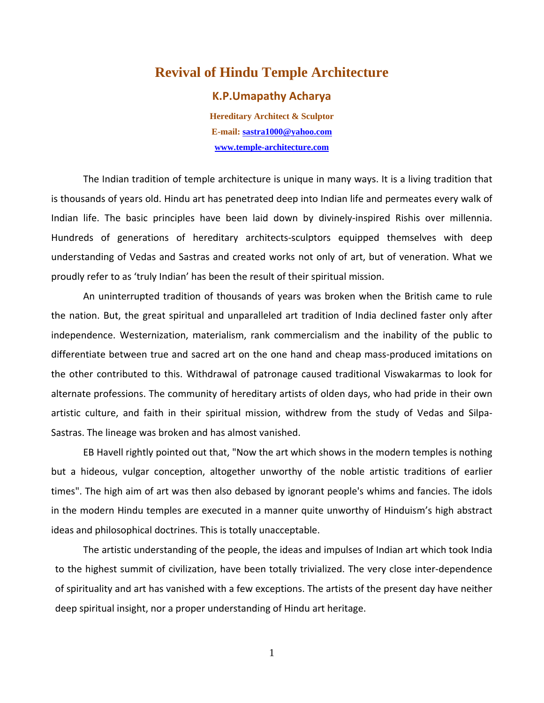## **Revival of Hindu Temple Architecture**

## **K.P.Umapathy Acharya**

**Hereditary Architect & Sculptor E-mail: sastra1000@yahoo.com www.temple-architecture.com**

The Indian tradition of temple architecture is unique in many ways. It is a living tradition that is thousands of years old. Hindu art has penetrated deep into Indian life and permeates every walk of Indian life. The basic principles have been laid down by divinely‐inspired Rishis over millennia. Hundreds of generations of hereditary architects‐sculptors equipped themselves with deep understanding of Vedas and Sastras and created works not only of art, but of veneration. What we proudly refer to as 'truly Indian' has been the result of their spiritual mission.

An uninterrupted tradition of thousands of years was broken when the British came to rule the nation. But, the great spiritual and unparalleled art tradition of India declined faster only after independence. Westernization, materialism, rank commercialism and the inability of the public to differentiate between true and sacred art on the one hand and cheap mass‐produced imitations on the other contributed to this. Withdrawal of patronage caused traditional Viswakarmas to look for alternate professions. The community of hereditary artists of olden days, who had pride in their own artistic culture, and faith in their spiritual mission, withdrew from the study of Vedas and Silpa‐ Sastras. The lineage was broken and has almost vanished.

EB Havell rightly pointed out that, "Now the art which shows in the modern temples is nothing but a hideous, vulgar conception, altogether unworthy of the noble artistic traditions of earlier times". The high aim of art was then also debased by ignorant people's whims and fancies. The idols in the modern Hindu temples are executed in a manner quite unworthy of Hinduism's high abstract ideas and philosophical doctrines. This is totally unacceptable.

The artistic understanding of the people, the ideas and impulses of Indian art which took India to the highest summit of civilization, have been totally trivialized. The very close inter‐dependence of spirituality and art has vanished with a few exceptions. The artists of the present day have neither deep spiritual insight, nor a proper understanding of Hindu art heritage.

1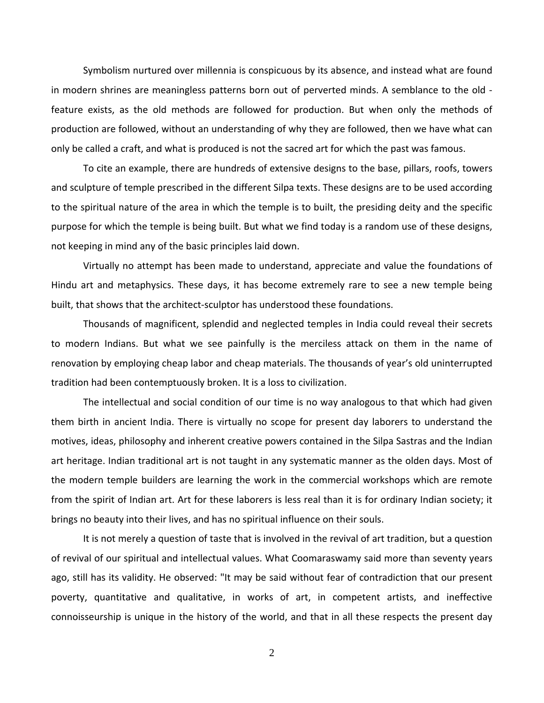Symbolism nurtured over millennia is conspicuous by its absence, and instead what are found in modern shrines are meaningless patterns born out of perverted minds. A semblance to the old ‐ feature exists, as the old methods are followed for production. But when only the methods of production are followed, without an understanding of why they are followed, then we have what can only be called a craft, and what is produced is not the sacred art for which the past was famous.

To cite an example, there are hundreds of extensive designs to the base, pillars, roofs, towers and sculpture of temple prescribed in the different Silpa texts. These designs are to be used according to the spiritual nature of the area in which the temple is to built, the presiding deity and the specific purpose for which the temple is being built. But what we find today is a random use of these designs, not keeping in mind any of the basic principles laid down.

Virtually no attempt has been made to understand, appreciate and value the foundations of Hindu art and metaphysics. These days, it has become extremely rare to see a new temple being built, that shows that the architect‐sculptor has understood these foundations.

Thousands of magnificent, splendid and neglected temples in India could reveal their secrets to modern Indians. But what we see painfully is the merciless attack on them in the name of renovation by employing cheap labor and cheap materials. The thousands of year's old uninterrupted tradition had been contemptuously broken. It is a loss to civilization.

The intellectual and social condition of our time is no way analogous to that which had given them birth in ancient India. There is virtually no scope for present day laborers to understand the motives, ideas, philosophy and inherent creative powers contained in the Silpa Sastras and the Indian art heritage. Indian traditional art is not taught in any systematic manner as the olden days. Most of the modern temple builders are learning the work in the commercial workshops which are remote from the spirit of Indian art. Art for these laborers is less real than it is for ordinary Indian society; it brings no beauty into their lives, and has no spiritual influence on their souls.

It is not merely a question of taste that is involved in the revival of art tradition, but a question of revival of our spiritual and intellectual values. What Coomaraswamy said more than seventy years ago, still has its validity. He observed: "It may be said without fear of contradiction that our present poverty, quantitative and qualitative, in works of art, in competent artists, and ineffective connoisseurship is unique in the history of the world, and that in all these respects the present day

2